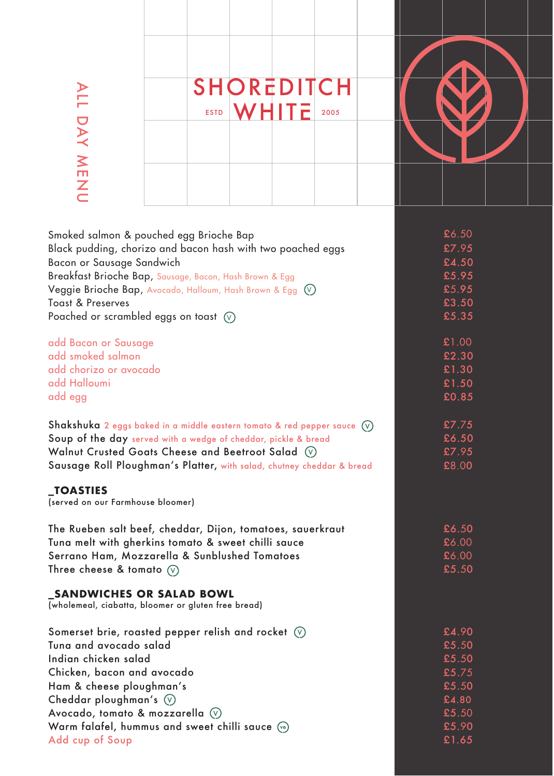|                        | <b>SHOREDITCH</b>     |  |
|------------------------|-----------------------|--|
|                        | WHITE<br>2005<br>ESTD |  |
| $\mathbf{\Sigma}$<br>ш |                       |  |
| $\mathbb Z$            |                       |  |

| Smoked salmon & pouched egg Brioche Bap                                                | £6.50 |
|----------------------------------------------------------------------------------------|-------|
| Black pudding, chorizo and bacon hash with two poached eggs                            | £7.95 |
| Bacon or Sausage Sandwich                                                              | £4.50 |
| Breakfast Brioche Bap, Sausage, Bacon, Hash Brown & Egg                                | £5.95 |
| Veggie Brioche Bap, Avocado, Halloum, Hash Brown & Egg $\left(\sqrt{v}\right)$         | £5.95 |
| <b>Toast &amp; Preserves</b>                                                           | £3.50 |
| Poached or scrambled eggs on toast $\heartsuit$                                        | £5.35 |
| add Bacon or Sausage                                                                   | £1.00 |
| add smoked salmon                                                                      | £2.30 |
| add chorizo or avocado                                                                 | £1.30 |
| add Halloumi                                                                           | £1.50 |
| add egg                                                                                | £0.85 |
| <b>Shakshuka</b> 2 eggs baked in a middle eastern tomato & red pepper sauce $(\nabla)$ | £7.75 |
| Soup of the day served with a wedge of cheddar, pickle & bread                         | £6.50 |
| Walnut Crusted Goats Cheese and Beetroot Salad (V)                                     | £7.95 |
| Sausage Roll Ploughman's Platter, with salad, chutney cheddar & bread                  | £8.00 |
| <b>_TOASTIES</b><br>(served on our Farmhouse bloomer)                                  |       |
| The Rueben salt beef, cheddar, Dijon, tomatoes, sauerkraut                             | £6.50 |
| Tuna melt with gherkins tomato & sweet chilli sauce                                    | £6.00 |
| Serrano Ham, Mozzarella & Sunblushed Tomatoes                                          | £6.00 |
| Three cheese & tomato $(\sqrt{v})$                                                     | £5.50 |
| _SANDWICHES OR SALAD BOWL<br>(wholemeal, ciabatta, bloomer or gluten free bread)       |       |
| Somerset brie, roasted pepper relish and rocket $\circledv$                            | £4.90 |
| Tuna and avocado salad                                                                 | £5.50 |
| Indian chicken salad                                                                   | £5.50 |
| Chicken, bacon and avocado                                                             | £5.75 |
| Ham & cheese ploughman's                                                               | £5.50 |
| Cheddar ploughman's $\heartsuit$                                                       | £4.80 |
| Avocado, tomato & mozzarella $\heartsuit$                                              | £5.50 |
| Warm falafel, hummus and sweet chilli sauce $\sqrt{e}$                                 | £5.90 |
| Add cup of Soup                                                                        | £1.65 |